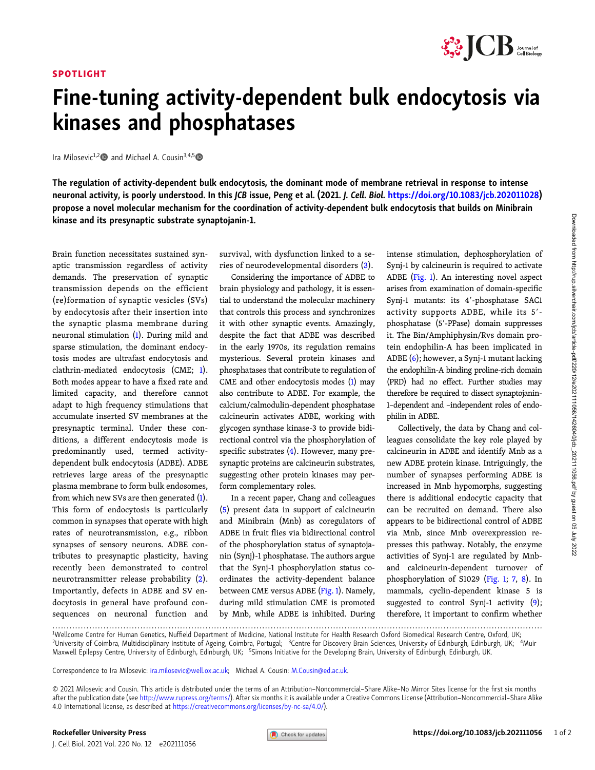## SPOTLIGHT



## Fine-tuning activity-dependent bulk endocytosis via kinases and phosphatases

Ira Milosevic<sup>1,2</sup> and Michael A. Cousin<sup>3,4,5</sup>

The regulation of activity-dependent bulk endocytosis, the dominant mode of membrane retrieval in response to intense neuronal activity, is poorly understood. In this JCB issue, Peng et al. (2021. J. Cell. Biol. [https://doi.org/10.1083/jcb.202011028\)](https://doi.org/10.1083/jcb.202011028) propose a novel molecular mechanism for the coordination of activity-dependent bulk endocytosis that builds on Minibrain kinase and its presynaptic substrate synaptojanin-1.

Brain function necessitates sustained synaptic transmission regardless of activity demands. The preservation of synaptic transmission depends on the efficient (re)formation of synaptic vesicles (SVs) by endocytosis after their insertion into the synaptic plasma membrane during neuronal stimulation [\(1\)](#page-1-0). During mild and sparse stimulation, the dominant endocytosis modes are ultrafast endocytosis and clathrin-mediated endocytosis (CME; [1\)](#page-1-0). Both modes appear to have a fixed rate and limited capacity, and therefore cannot adapt to high frequency stimulations that accumulate inserted SV membranes at the presynaptic terminal. Under these conditions, a different endocytosis mode is predominantly used, termed activitydependent bulk endocytosis (ADBE). ADBE retrieves large areas of the presynaptic plasma membrane to form bulk endosomes, from which new SVs are then generated ([1\)](#page-1-0). This form of endocytosis is particularly common in synapses that operate with high rates of neurotransmission, e.g., ribbon synapses of sensory neurons. ADBE contributes to presynaptic plasticity, having recently been demonstrated to control neurotransmitter release probability [\(2\)](#page-1-0). Importantly, defects in ADBE and SV endocytosis in general have profound consequences on neuronal function and

survival, with dysfunction linked to a series of neurodevelopmental disorders [\(3\)](#page-1-0).

Considering the importance of ADBE to brain physiology and pathology, it is essential to understand the molecular machinery that controls this process and synchronizes it with other synaptic events. Amazingly, despite the fact that ADBE was described in the early 1970s, its regulation remains mysterious. Several protein kinases and phosphatases that contribute to regulation of CME and other endocytosis modes [\(1](#page-1-0)) may also contribute to ADBE. For example, the calcium/calmodulin-dependent phosphatase calcineurin activates ADBE, working with glycogen synthase kinase-3 to provide bidirectional control via the phosphorylation of specific substrates  $(4)$  $(4)$ . However, many presynaptic proteins are calcineurin substrates, suggesting other protein kinases may perform complementary roles.

In a recent paper, Chang and colleagues [\(5](#page-1-0)) present data in support of calcineurin and Minibrain (Mnb) as coregulators of ADBE in fruit flies via bidirectional control of the phosphorylation status of synaptojanin (Synj)-1 phosphatase. The authors argue that the Synj-1 phosphorylation status coordinates the activity-dependent balance between CME versus ADBE [\(Fig. 1](#page-1-0)). Namely, during mild stimulation CME is promoted by Mnb, while ADBE is inhibited. During intense stimulation, dephosphorylation of Synj-1 by calcineurin is required to activate ADBE [\(Fig. 1](#page-1-0)). An interesting novel aspect arises from examination of domain-specific Synj-1 mutants: its 4'-phosphatase SAC1 activity supports ADBE, while its 5'phosphatase (5'-PPase) domain suppresses it. The Bin/Amphiphysin/Rvs domain protein endophilin-A has been implicated in ADBE ([6](#page-1-0)); however, a Synj-1 mutant lacking the endophilin-A binding proline-rich domain (PRD) had no effect. Further studies may therefore be required to dissect synaptojanin-1–dependent and –independent roles of endophilin in ADBE.

Collectively, the data by Chang and colleagues consolidate the key role played by calcineurin in ADBE and identify Mnb as a new ADBE protein kinase. Intriguingly, the number of synapses performing ADBE is increased in Mnb hypomorphs, suggesting there is additional endocytic capacity that can be recruited on demand. There also appears to be bidirectional control of ADBE via Mnb, since Mnb overexpression represses this pathway. Notably, the enzyme activities of Synj-1 are regulated by Mnband calcineurin-dependent turnover of phosphorylation of S1029 ([Fig. 1](#page-1-0); [7,](#page-1-0) [8](#page-1-0)). In mammals, cyclin-dependent kinase 5 is suggested to control Synj-1 activity [\(9\)](#page-1-0); therefore, it important to confirm whether

Correspondence to Ira Milosevic: [ira.milosevic@well.ox.ac.uk](mailto:ira.milosevic@well.ox.ac.uk); Michael A. Cousin: [M.Cousin@ed.ac.uk](mailto:M.Cousin@ed.ac.uk).

J. Cell Biol. 2021 Vol. 220 No. 12 e202111056

<sup>.............................................................................................................................................................................</sup> <sup>1</sup> <sup>1</sup>Wellcome Centre for Human Genetics, Nuffield Department of Medicine, National Institute for Health Research Oxford Biomedical Research Centre, Oxford, UK;<br><sup>2</sup>University of Coimbra Multidisciplinary Institute of Agging C University of Coimbra, Multidisciplinary Institute of Ageing, Coimbra, Portugal; <sup>3</sup>Centre for Discovery Brain Sciences, University of Edinburgh, Edinburgh, UK; <sup>4</sup>Muir Maxwell Epilepsy Centre, University of Edinburgh, Edinburgh, UK; <sup>5</sup>Simons Initiative for the Developing Brain, University of Edinburgh, Edinburgh, UK.

<sup>© 2021</sup> Milosevic and Cousin. This article is distributed under the terms of an Attribution–Noncommercial–Share Alike–No Mirror Sites license for the first six months after the publication date (see [http://www.rupress.org/terms/\)](http://www.rupress.org/terms/). After six months it is available under a Creative Commons License (Attribution–Noncommercial–Share Alike 4.0 International license, as described at <https://creativecommons.org/licenses/by-nc-sa/4.0/>).